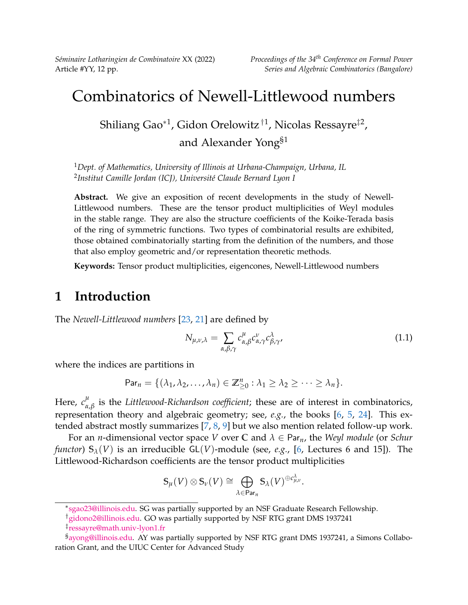*Séminaire Lotharingien de Combinatoire* XX (2022) *Proceedings of the 34th Conference on Formal Power*

# Combinatorics of Newell-Littlewood numbers

Shiliang Gao $^{\ast1}$ , Gidon Orelowitz $^{\dag1}$ , Nicolas Ressayre $^{\ddag2}$ , and Alexander Yong§1

<sup>1</sup>*Dept. of Mathematics, University of Illinois at Urbana-Champaign, Urbana, IL* 2 *Institut Camille Jordan (ICJ), Université Claude Bernard Lyon I*

**Abstract.** We give an exposition of recent developments in the study of Newell-Littlewood numbers. These are the tensor product multiplicities of Weyl modules in the stable range. They are also the structure coefficients of the Koike-Terada basis of the ring of symmetric functions. Two types of combinatorial results are exhibited, those obtained combinatorially starting from the definition of the numbers, and those that also employ geometric and/or representation theoretic methods.

**Keywords:** Tensor product multiplicities, eigencones, Newell-Littlewood numbers

# **1 Introduction**

The *Newell-Littlewood numbers* [\[23,](#page-11-0) [21\]](#page-11-1) are defined by

<span id="page-0-0"></span>
$$
N_{\mu,\nu,\lambda} = \sum_{\alpha,\beta,\gamma} c^{\mu}_{\alpha,\beta} c^{\nu}_{\alpha,\gamma} c^{\lambda}_{\beta,\gamma},
$$
\n(1.1)

where the indices are partitions in

$$
\mathsf{Par}_n = \{(\lambda_1, \lambda_2, \ldots, \lambda_n) \in \mathbb{Z}_{\geq 0}^n : \lambda_1 \geq \lambda_2 \geq \cdots \geq \lambda_n\}.
$$

Here,  $c_{\alpha}^{\mu}$ *α*,*β* is the *Littlewood-Richardson coefficient*; these are of interest in combinatorics, representation theory and algebraic geometry; see, *e.g.*, the books [\[6,](#page-10-0) [5,](#page-10-1) [24\]](#page-11-2). This extended abstract mostly summarizes [\[7,](#page-10-2) [8,](#page-10-3) [9\]](#page-10-4) but we also mention related follow-up work.

For an *n*-dimensional vector space *V* over **C** and *λ* ∈ Par*n*, the *Weyl module* (or *Schur functor*)  $S_\lambda(V)$  is an irreducible GL(*V*)-module (see, *e.g.*, [\[6,](#page-10-0) Lectures 6 and 15]). The Littlewood-Richardson coefficients are the tensor product multiplicities

$$
\mathbb{S}_{\mu}(V) \otimes \mathbb{S}_{\nu}(V) \cong \bigoplus_{\lambda \in \mathsf{Par}_n} \mathbb{S}_{\lambda}(V)^{\oplus c_{\mu,\nu}^{\lambda}}.
$$

<sup>∗</sup> [sgao23@illinois.edu.](mailto:sgao23@illinois.edu) SG was partially supported by an NSF Graduate Research Fellowship.

<sup>†</sup>[gidono2@illinois.edu.](gidono2@illinois.edu) GO was partially supported by NSF RTG grant DMS 1937241

<sup>‡</sup> [ressayre@math.univ-lyon1.fr](mailto:ressayre@math.univ-lyon1.fr)

<sup>§</sup>[ayong@illinois.edu.](mailto:ayong@illinois.edu) AY was partially supported by NSF RTG grant DMS 1937241, a Simons Collaboration Grant, and the UIUC Center for Advanced Study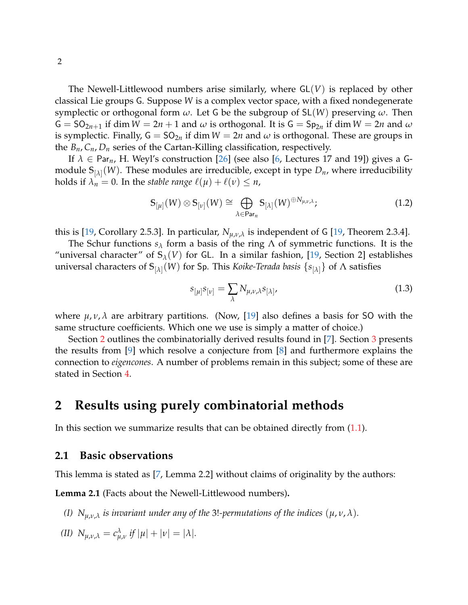The Newell-Littlewood numbers arise similarly, where GL(*V*) is replaced by other classical Lie groups G. Suppose *W* is a complex vector space, with a fixed nondegenerate symplectic or orthogonal form *ω*. Let G be the subgroup of SL(*W*) preserving *ω*. Then  $G = SO_{2n+1}$  if dim  $W = 2n + 1$  and  $\omega$  is orthogonal. It is  $G = Sp_{2n}$  if dim  $W = 2n$  and  $\omega$ is symplectic. Finally,  $G = SO_{2n}$  if dim  $W = 2n$  and  $\omega$  is orthogonal. These are groups in the  $B_n$ ,  $C_n$ ,  $D_n$  series of the Cartan-Killing classification, respectively.

If  $\lambda \in \text{Par}_n$ , H. Weyl's construction [\[26\]](#page-11-3) (see also [\[6,](#page-10-0) Lectures 17 and 19]) gives a Gmodule **S**[*λ*] (*W*). These modules are irreducible, except in type *Dn*, where irreducibility holds if  $\lambda_n = 0$ . In the *stable range*  $\ell(\mu) + \ell(\nu) \leq n$ ,

<span id="page-1-3"></span>
$$
\mathbb{S}_{[\mu]}(W) \otimes \mathbb{S}_{[\nu]}(W) \cong \bigoplus_{\lambda \in \text{Par}_n} \mathbb{S}_{[\lambda]}(W)^{\oplus N_{\mu,\nu,\lambda}}; \tag{1.2}
$$

this is [\[19,](#page-11-4) Corollary 2.5.3]. In particular,  $N_{\mu,\nu,\lambda}$  is independent of G [19, Theorem 2.3.4].

The Schur functions  $s_\lambda$  form a basis of the ring  $\Lambda$  of symmetric functions. It is the "universal character" of  $S_\lambda(V)$  for GL. In a similar fashion, [\[19,](#page-11-4) Section 2] establishes universal characters of **S**[*λ*] (*W*) for Sp. This *Koike-Terada basis* {*s*[*λ*]} of Λ satisfies

<span id="page-1-1"></span>
$$
s_{[\mu]}s_{[\nu]} = \sum_{\lambda} N_{\mu,\nu,\lambda} s_{[\lambda]}, \qquad (1.3)
$$

where *µ*, *ν*, *λ* are arbitrary partitions. (Now, [\[19\]](#page-11-4) also defines a basis for SO with the same structure coefficients. Which one we use is simply a matter of choice.)

Section [2](#page-1-0) outlines the combinatorially derived results found in [\[7\]](#page-10-2). Section [3](#page-5-0) presents the results from [\[9\]](#page-10-4) which resolve a conjecture from [\[8\]](#page-10-3) and furthermore explains the connection to *eigencones*. A number of problems remain in this subject; some of these are stated in Section [4.](#page-8-0)

## <span id="page-1-0"></span>**2 Results using purely combinatorial methods**

In this section we summarize results that can be obtained directly from  $(1.1)$ .

#### **2.1 Basic observations**

<span id="page-1-2"></span>This lemma is stated as [\[7,](#page-10-2) Lemma 2.2] without claims of originality by the authors:

**Lemma 2.1** (Facts about the Newell-Littlewood numbers)**.**

*(I)*  $N_{\mu,\nu,\lambda}$  *is invariant under any of the 3!-permutations of the indices*  $(\mu,\nu,\lambda)$ *.* 

(II) 
$$
N_{\mu,\nu,\lambda} = c_{\mu,\nu}^{\lambda}
$$
 if  $|\mu| + |\nu| = |\lambda|$ .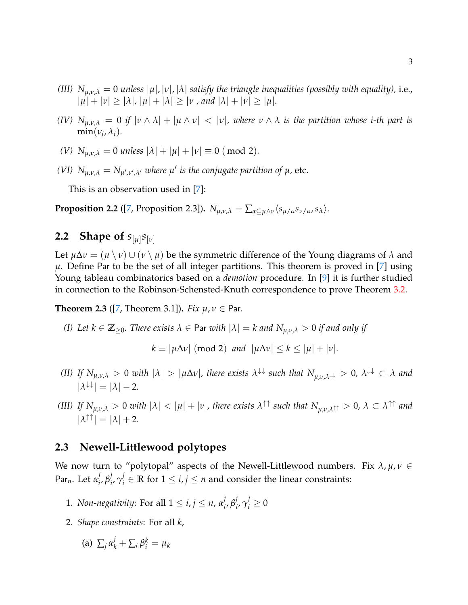- *(III)*  $N_{\mu,\nu,\lambda} = 0$  *unless*  $|\mu|, |\nu|, |\lambda|$  *satisfy the triangle inequalities (possibly with equality),* i.e.,  $| \mu | + | \nu | \geq | \lambda |$ ,  $| \mu | + | \lambda | \geq | \nu |$ , and  $| \lambda | + | \nu | \geq | \mu |$ .
- *(IV)*  $N_{\mu,\nu,\lambda} = 0$  *if*  $|\nu \wedge \lambda| + |\mu \wedge \nu| < |\nu|$ *, where*  $\nu \wedge \lambda$  *is the partition whose i-th part is*  $\min(\nu_i, \lambda_i)$ .
- *(V)*  $N_{\mu,\nu,\lambda} = 0$  *unless*  $|\lambda| + |\mu| + |\nu| \equiv 0 \pmod{2}$ .
- *(VI)*  $N_{\mu,\nu,\lambda} = N_{\mu',\nu',\lambda'}$  where  $\mu'$  is the conjugate partition of  $\mu$ , etc.

This is an observation used in [\[7\]](#page-10-2):

<span id="page-2-0"></span>**Proposition 2.2** ([\[7,](#page-10-2) Proposition 2.3]).  $N_{\mu,\nu,\lambda} = \sum_{\alpha \subseteq \mu \wedge \nu} \langle s_{\mu/\alpha} s_{\nu/\alpha}, s_{\lambda} \rangle$ .

# **2.2 Shape of** *s*[*µ*] *s*[*ν*]

Let  $\mu \Delta \nu = (\mu \setminus \nu) \cup (\nu \setminus \mu)$  be the symmetric difference of the Young diagrams of  $\lambda$  and  $\mu$ . Define Par to be the set of all integer partitions. This theorem is proved in [\[7\]](#page-10-2) using Young tableau combinatorics based on a *demotion* procedure. In [\[9\]](#page-10-4) it is further studied in connection to the Robinson-Schensted-Knuth correspondence to prove Theorem [3.2.](#page-6-0)

<span id="page-2-1"></span>**Theorem 2.3** ([\[7,](#page-10-2) Theorem 3.1]). *Fix*  $\mu, \nu \in$  Par.

*(I) Let*  $k \in \mathbb{Z}_{\geq 0}$ *. There exists*  $\lambda \in$  Par *with*  $|\lambda| = k$  *and*  $N_{\mu,\nu,\lambda} > 0$  *if and only if* 

 $k \equiv |\mu \Delta \nu| \pmod{2}$  *and*  $|\mu \Delta \nu| \leq k \leq |\mu| + |\nu|$ *.* 

- *(II) If*  $N_{\mu,\nu,\lambda} > 0$  *with*  $|\lambda| > |\mu \Delta \nu|$ , there exists  $\lambda^{\downarrow\downarrow}$  such that  $N_{\mu,\nu,\lambda^{\downarrow\downarrow}} > 0$ ,  $\lambda^{\downarrow\downarrow} \subset \lambda$  and  $|\lambda^{\downarrow\downarrow}| = |\lambda| - 2.$
- (III) If  $N_{\mu,\nu,\lambda}>0$  with  $|\lambda|<|\mu|+|\nu|$ , there exists  $\lambda^{\uparrow\uparrow}$  such that  $N_{\mu,\nu,\lambda^{\uparrow\uparrow}}>0$ ,  $\lambda\subset\lambda^{\uparrow\uparrow}$  and  $|\lambda^{\uparrow\uparrow}| = |\lambda| + 2.$

## **2.3 Newell-Littlewood polytopes**

We now turn to "polytopal" aspects of the Newell-Littlewood numbers. Fix  $\lambda$ ,  $\mu$ ,  $\nu \in$ Par*n*. Let *α j i* , *β j i* , *γ j*  $\mathbf{F}_i^j \in \mathbb{R}$  for  $1 \leq i, j \leq n$  and consider the linear constraints:

- 1. *Non-negativity*: For all  $1 \le i, j \le n$ ,  $\alpha_i^j$ *i* , *β j*  $j_i^j, \gamma_i^j \geq 0$
- 2. *Shape constraints*: For all *k*,

(a) 
$$
\sum_j \alpha_k^j + \sum_i \beta_i^k = \mu_k
$$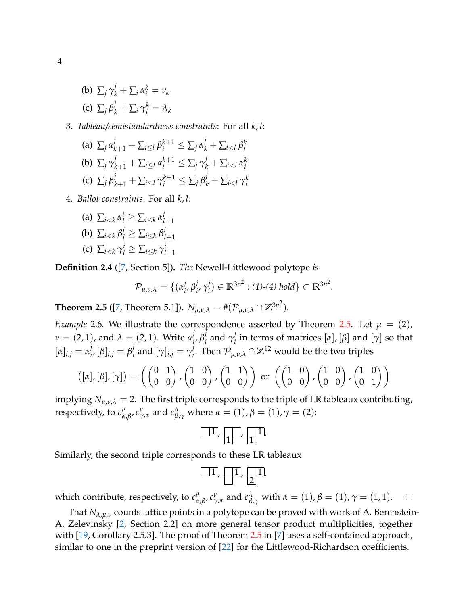(b)  $\sum_{j} \gamma_{k}^{j} + \sum_{i} \alpha_{i}^{k} = v_{k}$ (c)  $\sum_j \beta_k^j + \sum_i \gamma_i^k = \lambda_k$ 

#### 3. *Tableau/semistandardness constraints*: For all *k*, *l*:

(a) 
$$
\sum_{j} \alpha_{k+1}^{j} + \sum_{i \leq l} \beta_{i}^{k+1} \leq \sum_{j} \alpha_{k}^{j} + \sum_{i < l} \beta_{i}^{k}
$$
  
\n(b)  $\sum_{j} \gamma_{k+1}^{j} + \sum_{i \leq l} \alpha_{i}^{k+1} \leq \sum_{j} \gamma_{k}^{j} + \sum_{i < l} \alpha_{i}^{k}$   
\n(c)  $\sum_{j} \beta_{k+1}^{j} + \sum_{i \leq l} \gamma_{i}^{k+1} \leq \sum_{j} \beta_{k}^{j} + \sum_{i < l} \gamma_{i}^{k}$ 

- 4. *Ballot constraints*: For all *k*, *l*:
	- (a)  $\sum_{i \leq k} \alpha_i^i \geq \sum_{i \leq k} \alpha_{l+1}^i$ (b)  $\sum_{i \leq k} \beta_i^i \geq \sum_{i \leq k} \beta_{l+1}^i$
	- (c)  $\sum_{i \leq k} \gamma_l^i \geq \sum_{i \leq k} \gamma_{l+1}^i$

**Definition 2.4** ([\[7,](#page-10-2) Section 5])**.** *The* Newell-Littlewood polytope *is*

$$
\mathcal{P}_{\mu,\nu,\lambda} = \{ (\alpha_i^j, \beta_i^j, \gamma_i^j) \in \mathbb{R}^{3n^2} : (1)-(4) \text{ hold} \} \subset \mathbb{R}^{3n^2}.
$$

<span id="page-3-0"></span>**Theorem 2.5** ([\[7,](#page-10-2) Theorem 5.1]).  $N_{\mu,\nu,\lambda} = \#(\mathcal{P}_{\mu,\nu,\lambda} \cap \mathbb{Z}^{3n^2})$ .

*Example* 2.6*.* We illustrate the correspondence asserted by Theorem [2.5.](#page-3-0) Let  $\mu = (2)$ , *ν* = (2, 1), and *λ* = (2, 1). Write *α j i* , *β j*  $\frac{j}{i}$  and  $\gamma_i^j$  $\int i$  in terms of matrices  $[α]$ ,  $[β]$  and  $[γ]$  so that  $[\alpha]_{i,j} = \alpha_i^j$  $j_i$ ,  $[\beta]_{i,j} = \beta_i^j$  $j$ <sub>*i*</sub> and  $[\gamma]_{i,j} = \gamma_i^j$ *i*. Then  $\mathcal{P}_{\mu,\nu,\lambda} \cap \mathbb{Z}^{12}$  would be the two triples

$$
([\alpha], [\beta], [\gamma]) = \left( \begin{pmatrix} 0 & 1 \\ 0 & 0 \end{pmatrix}, \begin{pmatrix} 1 & 0 \\ 0 & 0 \end{pmatrix}, \begin{pmatrix} 1 & 1 \\ 0 & 0 \end{pmatrix} \right) \text{ or } \left( \begin{pmatrix} 1 & 0 \\ 0 & 0 \end{pmatrix}, \begin{pmatrix} 1 & 0 \\ 0 & 0 \end{pmatrix}, \begin{pmatrix} 1 & 0 \\ 0 & 1 \end{pmatrix} \right)
$$

implying  $N_{\mu,\nu,\lambda} = 2$ . The first triple corresponds to the triple of LR tableaux contributing, respectively, to  $c_{\alpha}^{\mu}$ *μ*<sub> $\alpha$ ,*β*</sub>, *c*<sup>*γ*</sup>, $\alpha$ </sub> and *c*<sup> $λ$ </sup><sub>*β*, $γ$ </sub> where  $α = (1)$ ,  $β = (1)$ ,  $γ = (2)$ :

Similarly, the second triple corresponds to these LR tableaux

which contribute, respectively, to  $c_{\alpha}^{\mu}$ *μ*<sub> $\alpha$ ,*β*</sub>, *c*<sup>*γ*</sup>, $\alpha$ </sub> and *c*<sup> $λ$ </sup><sub>*β*, $γ$ </sub> with  $α = (1)$ ,  $β = (1)$ ,  $γ = (1, 1)$ .  $\Box$ 

That  $N_{\lambda,\mu,\nu}$  counts lattice points in a polytope can be proved with work of A. Berenstein-A. Zelevinsky [\[2,](#page-10-5) Section 2.2] on more general tensor product multiplicities, together with [\[19,](#page-11-4) Corollary [2.5](#page-3-0).3]. The proof of Theorem 2.5 in [\[7\]](#page-10-2) uses a self-contained approach, similar to one in the preprint version of [\[22\]](#page-11-5) for the Littlewood-Richardson coefficients.

4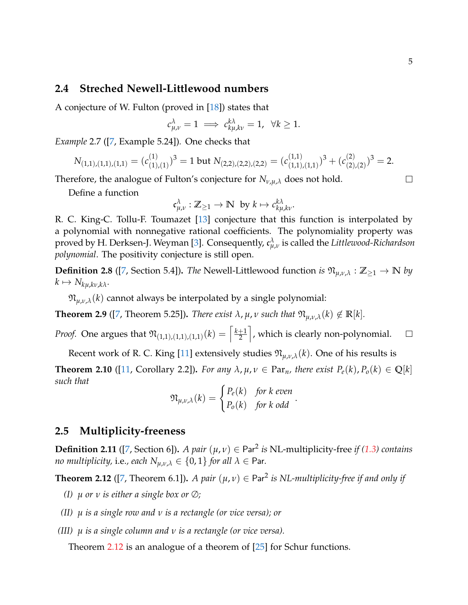#### **2.4 Streched Newell-Littlewood numbers**

A conjecture of W. Fulton (proved in [\[18\]](#page-11-6)) states that

$$
c_{\mu,\nu}^{\lambda}=1 \implies c_{k\mu,k\nu}^{k\lambda}=1, \ \ \forall k\geq 1.
$$

*Example* 2.7 ([\[7,](#page-10-2) Example 5.24])*.* One checks that

$$
N_{(1,1),(1,1),(1,1)} = (c_{(1),(1)}^{(1)})^3 = 1 \text{ but } N_{(2,2),(2,2),(2,2)} = (c_{(1,1),(1,1)}^{(1,1)})^3 + (c_{(2),(2)}^{(2)})^3 = 2.
$$

Therefore, the analogue of Fulton's conjecture for *Nν*,*µ*,*<sup>λ</sup>* does not hold.

Define a function

$$
\mathfrak{c}^\lambda_{\mu,\nu}: \mathbb{Z}_{\geq 1} \to \mathbb{N} \ \ \text{by} \ k \mapsto c_{k\mu,k\nu}^{k\lambda}.
$$

R. C. King-C. Tollu-F. Toumazet [\[13\]](#page-11-7) conjecture that this function is interpolated by a polynomial with nonnegative rational coefficients. The polynomiality property was proved by H. Derksen-J. Weyman [\[3\]](#page-10-6). Consequently, c *λ µ*,*ν* is called the *Littlewood-Richardson polynomial*. The positivity conjecture is still open.

**Definition 2.8** ([\[7,](#page-10-2) Section 5.4]). *The* Newell-Littlewood function *is*  $\mathfrak{N}_{\mu,\nu,\lambda}$  :  $\mathbb{Z}_{\geq 1} \to \mathbb{N}$  *by*  $k \mapsto N_{k\mu,k\nu,k\lambda}$ .

 $\mathfrak{N}_{\mu,\nu,\lambda}(k)$  cannot always be interpolated by a single polynomial:

**Theorem 2.9** ([\[7,](#page-10-2) Theorem 5.25]). *There exist*  $\lambda$ ,  $\mu$ ,  $\nu$  such that  $\mathfrak{N}_{\mu,\nu,\lambda}(k) \notin \mathbb{R}[k]$ .

*Proof.* One argues that  $\mathfrak{N}_{(1,1),(1,1),(1,1)}(k) = \left\lceil \frac{k+1}{2} \right\rceil$ m , which is clearly non-polynomial.  $\Box$ 2

Recent work of R. C. King [\[11\]](#page-10-7) extensively studies  $\mathfrak{N}_{\mu,\nu,\lambda}(k)$ . One of his results is

**Theorem 2.10** ([\[11,](#page-10-7) Corollary 2.2]). *For any*  $\lambda$ ,  $\mu$ ,  $\nu \in \text{Par}_n$ , there exist  $P_e(k)$ ,  $P_o(k) \in \mathbb{Q}[k]$ *such that*

$$
\mathfrak{N}_{\mu,\nu,\lambda}(k) = \begin{cases} P_e(k) & \text{for } k \text{ even} \\ P_o(k) & \text{for } k \text{ odd} \end{cases}
$$

.

## **2.5 Multiplicity-freeness**

**Definition 2.11** ([\[7,](#page-10-2) Section 6]). *A pair*  $(\mu, \nu) \in \text{Par}^2$  *is* NL-multiplicity-free *if* [\(1.3\)](#page-1-1) *contains no multiplicity, i.e., each*  $N_{\mu,\nu,\lambda} \in \{0,1\}$  *for all*  $\lambda \in$  Par.

<span id="page-4-0"></span>**Theorem 2.12** ([\[7,](#page-10-2) Theorem 6.1]). *A pair*  $(\mu, \nu) \in \text{Par}^2$  *is NL-multiplicity-free if and only if* 

- *(I) µ or ν is either a single box or* ∅*;*
- *(II) µ is a single row and ν is a rectangle (or vice versa); or*
- *(III) µ is a single column and ν is a rectangle (or vice versa).*

Theorem [2.12](#page-4-0) is an analogue of a theorem of [\[25\]](#page-11-8) for Schur functions.

 $\Box$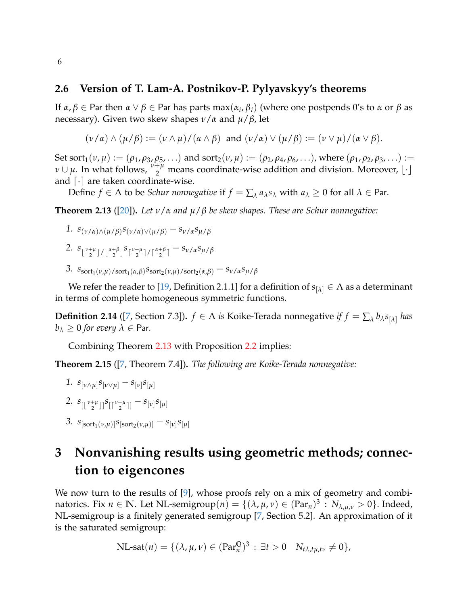#### **2.6 Version of T. Lam-A. Postnikov-P. Pylyavskyy's theorems**

If *α*, *β* ∈ Par then *α* ∨ *β* ∈ Par has parts max(*α<sup>i</sup>* , *βi*) (where one postpends 0's to *α* or *β* as necessary). Given two skew shapes *ν*/*α* and *µ*/*β*, let

$$
(\nu/\alpha) \wedge (\mu/\beta) := (\nu \wedge \mu)/(\alpha \wedge \beta) \text{ and } (\nu/\alpha) \vee (\mu/\beta) := (\nu \vee \mu)/(\alpha \vee \beta).
$$

Set sort<sub>1</sub>(*v*,  $\mu$ ) := ( $\rho_1$ ,  $\rho_3$ ,  $\rho_5$ ,...) and sort<sub>2</sub>(*v*,  $\mu$ ) := ( $\rho_2$ ,  $\rho_4$ ,  $\rho_6$ ,...), where ( $\rho_1$ ,  $\rho_2$ ,  $\rho_3$ ,...) := *ν* ∪ *μ*. In what follows,  $\frac{v+\mu}{2}$  means coordinate-wise addition and division. Moreover, [.] and  $\lceil \cdot \rceil$  are taken coordinate-wise.

Define  $f \in \Lambda$  to be *Schur nonnegative* if  $f = \sum_{\lambda} a_{\lambda} s_{\lambda}$  with  $a_{\lambda} \geq 0$  for all  $\lambda \in$  Par.

<span id="page-5-1"></span>**Theorem 2.13** ([\[20\]](#page-11-9))**.** *Let ν*/*α and µ*/*β be skew shapes. These are Schur nonnegative:*

1. 
$$
s_{(\nu/\alpha)\wedge(\mu/\beta)}s_{(\nu/\alpha)\vee(\mu/\beta)}-s_{\nu/\alpha}s_{\mu/\beta}
$$

- 2.  $s_{\lfloor \frac{v+\mu}{2} \rfloor / \lfloor \frac{\alpha+\beta}{2} \rfloor} s_{\lceil \frac{v+\mu}{2} \rceil / \lceil \frac{\alpha+\beta}{2} \rceil} s_{v/\alpha} s_{\mu/\beta}$
- 3.  $s_{\text{sort}_1(\nu,\mu)/\text{sort}_1(\alpha,\beta)} s_{\text{sort}_2(\nu,\mu)/\text{sort}_2(\alpha,\beta)} s_{\nu/\alpha}s_{\mu/\beta}$

We refer the reader to [\[19,](#page-11-4) Definition 2.1.1] for a definition of  $s_{[\lambda]} \in \Lambda$  as a determinant in terms of complete homogeneous symmetric functions.

**Definition 2.14** ([\[7,](#page-10-2) Section 7.3]).  $f \in \Lambda$  *is* Koike-Terada nonnegative *if*  $f = \sum_{\lambda} b_{\lambda} s_{[\lambda]}$  *has*  $b_{\lambda} \geq 0$  *for every*  $\lambda \in$  Par.

Combining Theorem [2.13](#page-5-1) with Proposition [2.2](#page-2-0) implies:

**Theorem 2.15** ([\[7,](#page-10-2) Theorem 7.4])**.** *The following are Koike-Terada nonnegative:*

- *1.*  $s_{\lbrack\nu\wedge\mu\rbrack} s_{\lbrack\nu\vee\mu\rbrack} s_{\lbrack\nu\rbrack} s_{\lbrack\mu\rbrack}$
- 2.  $s_{\left[\left\lfloor \frac{\nu+\mu}{2} \right\rfloor\right]} s_{\left[\left\lceil \frac{\nu+\mu}{2} \right\rceil\right]} s_{\left[\nu\right]} s_{\left[\mu\right]}$
- 3.  $s_{\left[ \text{sort}_1(\nu,\mu) \right]} s_{\left[ \text{sort}_2(\nu,\mu) \right]} s_{\left[ \nu \right]} s_{\left[ \mu \right]}$

# <span id="page-5-0"></span>**3 Nonvanishing results using geometric methods; connection to eigencones**

We now turn to the results of [\[9\]](#page-10-4), whose proofs rely on a mix of geometry and combi- $\text{matories. Fix } n \in \mathbb{N}.$  Let  $\text{NL-semigroup}(n) = \{(\lambda, \mu, \nu) \in (\text{Par}_n)^3 : N_{\lambda, \mu, \nu} > 0\}.$  Indeed, NL-semigroup is a finitely generated semigroup [\[7,](#page-10-2) Section 5.2]. An approximation of it is the saturated semigroup:

$$
\text{NL-sat}(n) = \{(\lambda, \mu, \nu) \in (\text{Par}_n^{\mathbb{Q}})^3 : \exists t > 0 \quad N_{t\lambda, t\mu, t\nu} \neq 0\},
$$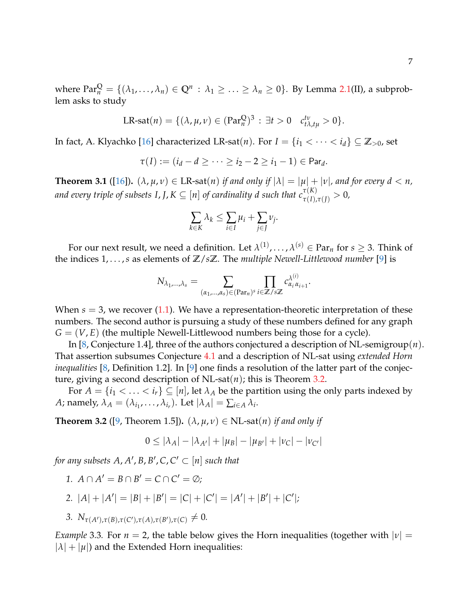where  $Par_n^Q = \{(\lambda_1, \ldots, \lambda_n) \in Q^n : \lambda_1 \geq \ldots \geq \lambda_n \geq 0\}$ . By Lemma [2.1\(](#page-1-2)II), a subproblem asks to study

$$
\text{LR-sat}(n) = \{(\lambda, \mu, \nu) \in (\text{Par}_n^{\mathbb{Q}})^3 : \exists t > 0 \quad c_{t\lambda, t\mu}^{\mathcal{t}\nu} > 0\}.
$$

In fact, A. Klyachko [\[16\]](#page-11-10) characterized LR-sat(*n*). For  $I = \{i_1 < \cdots < i_d\} \subseteq \mathbb{Z}_{>0}$ , set

$$
\tau(I):=(i_d-d\geq\cdots\geq i_2-2\geq i_1-1)\in Par_d.
$$

<span id="page-6-1"></span>**Theorem 3.1** ([\[16\]](#page-11-10)).  $(\lambda, \mu, \nu) \in \text{LR-sat}(n)$  *if and only if*  $|\lambda| = |\mu| + |\nu|$ *, and for every*  $d < n$ *,* and every triple of subsets I, J,  $K \subseteq [n]$  of cardinality d such that  $c^{\tau(K)}_{\tau(I),\tau(J)}>0$ ,

$$
\sum_{k\in K} \lambda_k \le \sum_{i\in I} \mu_i + \sum_{j\in J} \nu_j.
$$

For our next result, we need a definition. Let  $\lambda^{(1)}, \ldots, \lambda^{(s)} \in \operatorname{Par}_n$  for  $s \geq 3$ . Think of the indices 1, . . . ,*s* as elements of **Z**/*s***Z**. The *multiple Newell-Littlewood number* [\[9\]](#page-10-4) is

$$
N_{\lambda_1,\dots,\lambda_s} = \sum_{(\alpha_1,\dots,\alpha_s) \in (\operatorname{Par}_n)^s} \prod_{i \in \mathbb{Z}/s\mathbb{Z}} c_{\alpha_i \alpha_{i+1}}^{\lambda^{(i)}}.
$$

When  $s = 3$ , we recover  $(1.1)$ . We have a representation-theoretic interpretation of these numbers. The second author is pursuing a study of these numbers defined for any graph  $G = (V, E)$  (the multiple Newell-Littlewood numbers being those for a cycle).

In [\[8,](#page-10-3) Conjecture 1.4], three of the authors conjectured a description of NL-semigroup(*n*). That assertion subsumes Conjecture [4.1](#page-8-1) and a description of NL-sat using *extended Horn inequalities* [\[8,](#page-10-3) Definition 1.2]. In [\[9\]](#page-10-4) one finds a resolution of the latter part of the conjecture, giving a second description of NL-sat(*n*); this is Theorem [3.2.](#page-6-0)

For  $A = \{i_1 < \ldots < i_r\} \subseteq [n]$ , let  $\lambda_A$  be the partition using the only parts indexed by *A*; namely,  $\lambda_A = (\lambda_{i_1}, \dots, \lambda_{i_r})$ . Let  $|\lambda_A| = \sum_{i \in A} \lambda_i$ .

<span id="page-6-0"></span>**Theorem 3.2** ([\[9,](#page-10-4) Theorem 1.5]).  $(\lambda, \mu, \nu) \in NL$ -sat $(n)$  *if and only if* 

$$
0 \le |\lambda_A| - |\lambda_{A'}| + |\mu_B| - |\mu_{B'}| + |\nu_C| - |\nu_{C'}|
$$

for any subsets  $A$ ,  $A'$ ,  $B$ ,  $B'$ ,  $C$ ,  $C' \subset [n]$  such that

- *1.*  $A \cap A' = B \cap B' = C \cap C' = \emptyset;$
- 2.  $|A| + |A'| = |B| + |B'| = |C| + |C'| = |A'| + |B'| + |C'|;$
- 3.  $N_{\tau(A'),\tau(B),\tau(C'),\tau(A),\tau(B'),\tau(C)} \neq 0.$

*Example* 3.3. For  $n = 2$ , the table below gives the Horn inequalities (together with  $|\nu| =$  $|\lambda| + |\mu|$ ) and the Extended Horn inequalities: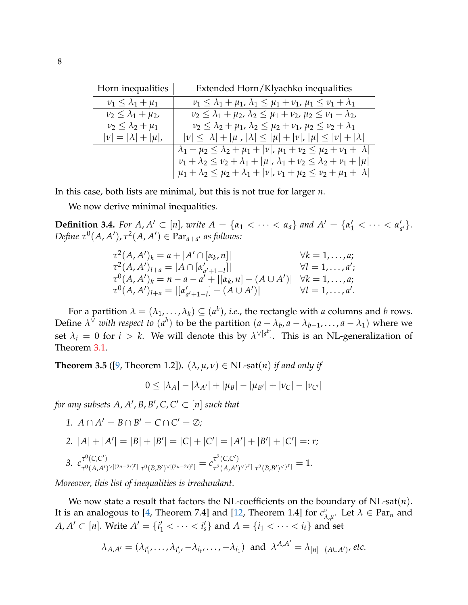| Horn inequalities              | Extended Horn/Klyachko inequalities                                                                     |  |  |
|--------------------------------|---------------------------------------------------------------------------------------------------------|--|--|
| $\nu_1 \leq \lambda_1 + \mu_1$ | $\nu_1 \leq \lambda_1 + \mu_1$ , $\lambda_1 \leq \mu_1 + \nu_1$ , $\mu_1 \leq \nu_1 + \lambda_1$        |  |  |
| $\nu_2 \leq \lambda_1 + \mu_2$ | $\nu_2 \leq \lambda_1 + \mu_2$ , $\lambda_2 \leq \mu_1 + \nu_2$ , $\mu_2 \leq \nu_1 + \lambda_2$ ,      |  |  |
| $\nu_2 \leq \lambda_2 + \mu_1$ | $\nu_2 \leq \lambda_2 + \mu_1$ , $\lambda_2 \leq \mu_2 + \nu_1$ , $\mu_2 \leq \nu_2 + \lambda_1$        |  |  |
| $ \nu = \lambda + \mu $ ,      | $ \nu  \le  \lambda  +  \mu ,  \lambda  \le  \mu  +  \nu ,  \mu  \le  \nu  +  \lambda $                 |  |  |
|                                | $\lambda_1 + \mu_2 \leq \lambda_2 + \mu_1 +  \nu , \mu_1 + \nu_2 \leq \mu_2 + \nu_1 +  \lambda $        |  |  |
|                                | $\nu_1 + \lambda_2 \leq \nu_2 + \lambda_1 +  \mu $ , $\lambda_1 + \nu_2 \leq \lambda_2 + \nu_1 +  \mu $ |  |  |
|                                | $\mu_1 + \lambda_2 \leq \mu_2 + \lambda_1 +  \nu $ , $\nu_1 + \mu_2 \leq \nu_2 + \mu_1 +  \lambda $     |  |  |

In this case, both lists are minimal, but this is not true for larger *n*.

We now derive minimal inequalities.

**Definition 3.4.** *For A, A'*  $\subset$  [*n*]*, write A* = { $\alpha_1$  < · · · <  $\alpha_a$ } *and A'* = { $\alpha'_1$  < · · · <  $\alpha'_i$ <sup>*a*</sup>/<sub>a</sub><sup>1</sup>.  $Define \tau^0(A, A'), \tau^2(A, A') \in \text{Par}_{a+a'}$  *as follows:* 

$$
\tau^{2}(A, A')_{k} = a + |A' \cap [\alpha_{k}, n]| \qquad \forall k = 1, ..., a; \n\tau^{2}(A, A')_{l+a} = |A \cap [\alpha'_{a'+1-l}]| \qquad \forall l = 1, ..., a'; \n\tau^{0}(A, A')_{k} = n - a - a' + |[\alpha_{k}, n] - (A \cup A')| \qquad \forall k = 1, ..., a; \n\tau^{0}(A, A')_{l+a} = |[\alpha'_{a'+1-l}] - (A \cup A')| \qquad \forall l = 1, ..., a'.
$$

For a partition  $\lambda = (\lambda_1, \dots, \lambda_k) \subseteq (a^b)$ , *i.e.*, the rectangle with *a* columns and *b* rows. Define  $\lambda^{\vee}$  *with respect to*  $(a^b)$  to be the partition  $(a - \lambda_b, a - \lambda_{b-1}, \ldots, a - \lambda_1)$  where we set  $\lambda_i = 0$  for  $i > k$ . We will denote this by  $\lambda^{\vee [a^b]}$ . This is an NL-generalization of Theorem [3.1.](#page-6-1)

<span id="page-7-0"></span>**Theorem 3.5** ([\[9,](#page-10-4) Theorem 1.2]).  $(\lambda, \mu, \nu) \in NL$ -sat $(n)$  *if and only if* 

$$
0 \le |\lambda_A| - |\lambda_{A'}| + |\mu_B| - |\mu_{B'}| + |\nu_C| - |\nu_{C'}|
$$

for any subsets  $A$ ,  $A'$ ,  $B$ ,  $B'$ ,  $C$ ,  $C' \subset [n]$  such that

*1.*  $A \cap A' = B \cap B' = C \cap C' = \emptyset;$ 

2. 
$$
|A| + |A'| = |B| + |B'| = |C| + |C'| = |A'| + |B'| + |C'| = r;
$$

3. 
$$
c_{\tau^0(A,A')^\vee[(2n-2r)^r]}^{\tau^0(C,C')} \tau^0(B,B')^\vee[(2n-2r)^r]} = c_{\tau^2(A,A')^\vee[r^r]}^{\tau^2(C,C')} \tau^2(B,B')^\vee[r^r]} = 1.
$$

*Moreover, this list of inequalities is irredundant.*

We now state a result that factors the NL-coefficients on the boundary of NL-sat(*n*). It is an analogous to [\[4,](#page-10-8) Theorem 7.4] and [\[12,](#page-10-9) Theorem 1.4] for  $c_{\lambda,\mu}^{\nu}$ . Let  $\lambda \in {\rm Par}_n$  and *A*,  $A' \subset [n]$ . Write  $A' = \{i'_1 < \cdots < i'_s\}$  and  $A = \{i_1 < \cdots < i_t\}$  and set

$$
\lambda_{A,A'}=(\lambda_{i'_1},\ldots,\lambda_{i'_s},-\lambda_{i_t},\ldots,-\lambda_{i_1}) \text{ and } \lambda^{A,A'}=\lambda_{[n]-(A\cup A')},\text{etc.}
$$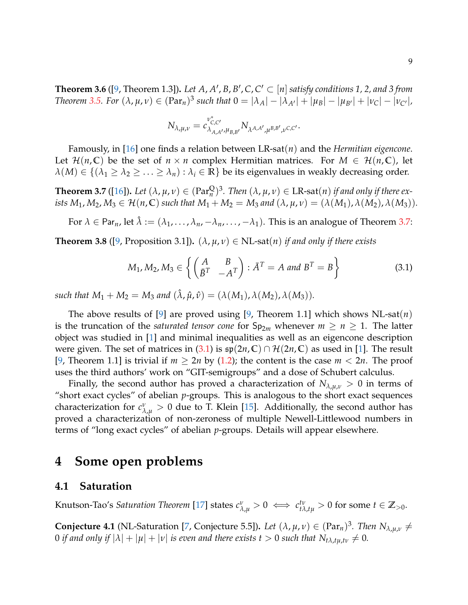**Theorem 3.6** ([\[9,](#page-10-4) Theorem 1.3]). Let  $A$ ,  $A'$ ,  $B$ ,  $B'$ ,  $C$ ,  $C' \subset [n]$  satisfy conditions 1, 2, and 3 from Theorem [3.5.](#page-7-0) For  $(\lambda, \mu, \nu) \in (\text{Par}_n)^3$  such that  $0 = |\lambda_A| - |\lambda_{A'}| + |\mu_B| - |\mu_{B'}| + |\nu_C| - |\nu_{C'}|$ ,

<span id="page-8-3"></span>
$$
N_{\lambda,\mu,\nu}=c_{\lambda_{A,A'},\mu_{B,B'}}^{\nu_{C,C'}^*}N_{\lambda^{A,A'},\mu^{B,B'},\nu^{C,C'}}.
$$

Famously, in [\[16\]](#page-11-10) one finds a relation between LR-sat(*n*) and the *Hermitian eigencone*. Let  $\mathcal{H}(n,\mathbb{C})$  be the set of  $n \times n$  complex Hermitian matrices. For  $M \in \mathcal{H}(n,\mathbb{C})$ , let  $\lambda(M) \in \{(\lambda_1 \geq \lambda_2 \geq \ldots \geq \lambda_n) : \lambda_i \in \mathbb{R}\}$  be its eigenvalues in weakly decreasing order.

<span id="page-8-2"></span>**Theorem 3.7** ([\[16\]](#page-11-10)). Let  $(\lambda, \mu, \nu) \in (\text{Par}_n^{\mathbb{Q}})^3$ . Then  $(\lambda, \mu, \nu) \in \text{LR-sat}(n)$  if and only if there ex*ists*  $M_1, M_2, M_3 \in \mathcal{H}(n, \mathbb{C})$  *such that*  $M_1 + M_2 = M_3$  *and*  $(\lambda, \mu, \nu) = (\lambda(M_1), \lambda(M_2), \lambda(M_3))$ .

For  $\lambda \in \text{Par}_n$ , let  $\hat{\lambda} := (\lambda_1, \dots, \lambda_n, -\lambda_n, \dots, -\lambda_1)$ . This is an analogue of Theorem [3.7:](#page-8-2)

**Theorem 3.8** ([\[9,](#page-10-4) Proposition 3.1]).  $(\lambda, \mu, \nu) \in NL$ -sat $(n)$  *if and only if there exists* 

$$
M_1, M_2, M_3 \in \left\{ \begin{pmatrix} A & B \\ \bar{B}^T & -A^T \end{pmatrix} : \bar{A}^T = A \text{ and } B^T = B \right\} \tag{3.1}
$$

*such that*  $M_1 + M_2 = M_3$  *and*  $(\hat{\lambda}, \hat{\mu}, \hat{\nu}) = (\lambda(M_1), \lambda(M_2), \lambda(M_3)).$ 

The above results of [\[9\]](#page-10-4) are proved using [\[9,](#page-10-4) Theorem 1.1] which shows NL-sat(*n*) is the truncation of the *saturated tensor cone* for  $Sp_{2m}$  whenever  $m \ge n \ge 1$ . The latter object was studied in [\[1\]](#page-10-10) and minimal inequalities as well as an eigencone description were given. The set of matrices in [\(3.1\)](#page-8-3) is  $\mathfrak{sp}(2n,\mathbb{C}) \cap \mathcal{H}(2n,\mathbb{C})$  as used in [\[1\]](#page-10-10). The result [\[9,](#page-10-4) Theorem 1.1] is trivial if  $m \geq 2n$  by [\(1.2\)](#page-1-3); the content is the case  $m < 2n$ . The proof uses the third authors' work on "GIT-semigroups" and a dose of Schubert calculus.

Finally, the second author has proved a characterization of *Nλ*,*µ*,*<sup>ν</sup>* > 0 in terms of "short exact cycles" of abelian *p*-groups. This is analogous to the short exact sequences characterization for  $c^{\nu}_{\lambda,\mu} > 0$  due to T. Klein [\[15\]](#page-11-11). Additionally, the second author has proved a characterization of non-zeroness of multiple Newell-Littlewood numbers in terms of "long exact cycles" of abelian *p*-groups. Details will appear elsewhere.

## <span id="page-8-0"></span>**4 Some open problems**

#### **4.1 Saturation**

Knutson-Tao's *Saturation Theorem* [\[17\]](#page-11-12) states  $c_{\lambda,\mu}^{\nu}>0 \iff c_{t\lambda,t\mu}^{t\nu}>0$  for some  $t\in\mathbb{Z}_{>0}.$ 

<span id="page-8-1"></span>**Conjecture 4.1** (NL-Saturation [\[7,](#page-10-2) Conjecture 5.5]). Let  $(\lambda, \mu, \nu) \in (\text{Par}_n)^3$ . Then  $N_{\lambda, \mu, \nu} \neq$ 0 *if and only if*  $|\lambda| + |\mu| + |\nu|$  *is even and there exists t* > 0 *such that*  $N_{t\lambda, tu, tv} \neq 0$ *.*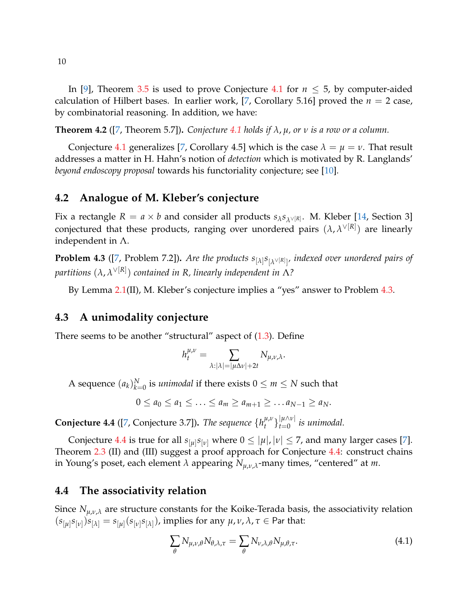In [\[9\]](#page-10-4), Theorem [3.5](#page-7-0) is used to prove Conjecture [4.1](#page-8-1) for  $n \leq 5$ , by computer-aided calculation of Hilbert bases. In earlier work, [\[7,](#page-10-2) Corollary 5.16] proved the  $n = 2$  case, by combinatorial reasoning. In addition, we have:

**Theorem 4.2** ([\[7,](#page-10-2) Theorem 5.7]). *Conjecture* [4.1](#page-8-1) *holds if*  $\lambda$ ,  $\mu$ , *or*  $\nu$  *is a row or a column.* 

Conjecture [4.1](#page-8-1) generalizes [\[7,](#page-10-2) Corollary 4.5] which is the case  $\lambda = \mu = \nu$ . That result addresses a matter in H. Hahn's notion of *detection* which is motivated by R. Langlands' *beyond endoscopy proposal* towards his functoriality conjecture; see [\[10\]](#page-10-11).

## **4.2 Analogue of M. Kleber's conjecture**

Fix a rectangle  $R = a \times b$  and consider all products  $s_{\lambda} s_{\lambda} \vee [R]$ . M. Kleber [\[14,](#page-11-13) Section 3] conjectured that these products, ranging over unordered pairs (*λ*, *λ* ∨[*R*] ) are linearly independent in Λ.

<span id="page-9-0"></span>**Problem 4.3** ([\[7,](#page-10-2) Problem 7.2])**.** *Are the products s*[*λ*] *s* [*λ* ∨[*R*] ] *, indexed over unordered pairs of partitions* (*λ*, *λ* ∨[*R*] ) *contained in R, linearly independent in* Λ*?*

By Lemma [2.1\(](#page-1-2)II), M. Kleber's conjecture implies a "yes" answer to Problem [4.3.](#page-9-0)

### **4.3 A unimodality conjecture**

There seems to be another "structural" aspect of  $(1.3)$ . Define

$$
h_t^{\mu,\nu} = \sum_{\lambda: |\lambda| = |\mu \Delta \nu| + 2t} N_{\mu,\nu,\lambda}.
$$

A sequence  $(a_k)_{k=0}^N$  is *unimodal* if there exists  $0 \le m \le N$  such that

 $0 \le a_0 \le a_1 \le \ldots \le a_m \ge a_{m+1} \ge \ldots a_{N-1} \ge a_N$ .

<span id="page-9-1"></span>**Conjecture 4.4** ([\[7,](#page-10-2) Conjecture 3.7]). *The sequence*  $\{h_t^{\mu,\nu}\}$ *μ*,ν<sub>}</sub> |μ∧ν|<br>*t l l l l l l l*  $\int_{t=0}^{\lfloor \mu/\sqrt{t} \rfloor}$  *is unimodal.* 

Conjecture [4.4](#page-9-1) is true for all  $s_{[\mu]}s_{[\nu]}$  where  $0 \leq |\mu|, |\nu| \leq 7$ , and many larger cases [\[7\]](#page-10-2). Theorem [2.3](#page-2-1) (II) and (III) suggest a proof approach for Conjecture [4.4:](#page-9-1) construct chains in Young's poset, each element *λ* appearing *Nµ*,*ν*,*λ*-many times, "centered" at *m*.

## **4.4 The associativity relation**

Since  $N_{\mu,\nu,\lambda}$  are structure constants for the Koike-Terada basis, the associativity relation  $(s_{[\mu]}s_{[\nu]})s_{[\lambda]} = s_{[\mu]}(s_{[\nu]}s_{[\lambda]}),$  implies for any  $\mu, \nu, \lambda, \tau \in$  Par that:

<span id="page-9-2"></span>
$$
\sum_{\theta} N_{\mu,\nu,\theta} N_{\theta,\lambda,\tau} = \sum_{\theta} N_{\nu,\lambda,\theta} N_{\mu,\theta,\tau}.
$$
\n(4.1)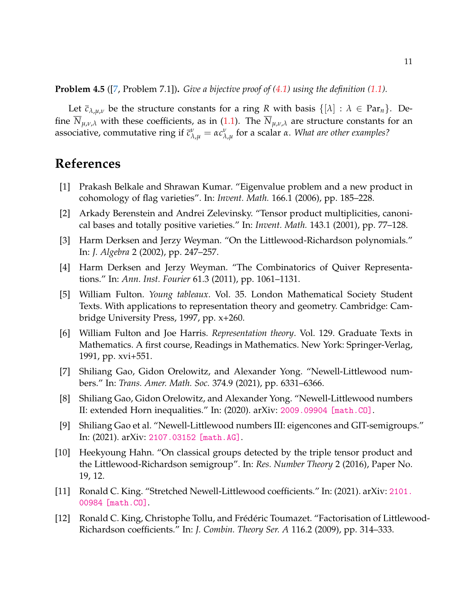#### **Problem 4.5** ([\[7,](#page-10-2) Problem 7.1])**.** *Give a bijective proof of [\(4.1\)](#page-9-2) using the definition [\(1.1\)](#page-0-0).*

Let  $\bar{c}_{\lambda,\mu,\nu}$  be the structure constants for a ring R with basis  $\{[\lambda] : \lambda \in \mathrm{Par}_{n}\}.$  Define  $\overline{N}_{\mu,\nu,\lambda}$  with these coefficients, as in [\(1.1\)](#page-0-0). The  $\overline{N}_{\mu,\nu,\lambda}$  are structure constants for an associative, commutative ring if  $\bar{c}^{\nu}_{\lambda,\mu} = \alpha c^{\nu}_{\lambda,\mu}$  for a scalar  $\alpha$ . *What are other examples*?

# **References**

- <span id="page-10-10"></span>[1] Prakash Belkale and Shrawan Kumar. "Eigenvalue problem and a new product in cohomology of flag varieties". In: *Invent. Math.* 166.1 (2006), pp. 185–228.
- <span id="page-10-5"></span>[2] Arkady Berenstein and Andrei Zelevinsky. "Tensor product multiplicities, canonical bases and totally positive varieties." In: *Invent. Math.* 143.1 (2001), pp. 77–128.
- <span id="page-10-6"></span>[3] Harm Derksen and Jerzy Weyman. "On the Littlewood-Richardson polynomials." In: *J. Algebra* 2 (2002), pp. 247–257.
- <span id="page-10-8"></span>[4] Harm Derksen and Jerzy Weyman. "The Combinatorics of Quiver Representations." In: *Ann. Inst. Fourier* 61.3 (2011), pp. 1061–1131.
- <span id="page-10-1"></span>[5] William Fulton. *Young tableaux*. Vol. 35. London Mathematical Society Student Texts. With applications to representation theory and geometry. Cambridge: Cambridge University Press, 1997, pp. x+260.
- <span id="page-10-0"></span>[6] William Fulton and Joe Harris. *Representation theory*. Vol. 129. Graduate Texts in Mathematics. A first course, Readings in Mathematics. New York: Springer-Verlag, 1991, pp. xvi+551.
- <span id="page-10-2"></span>[7] Shiliang Gao, Gidon Orelowitz, and Alexander Yong. "Newell-Littlewood numbers." In: *Trans. Amer. Math. Soc.* 374.9 (2021), pp. 6331–6366.
- <span id="page-10-3"></span>[8] Shiliang Gao, Gidon Orelowitz, and Alexander Yong. "Newell-Littlewood numbers II: extended Horn inequalities." In: (2020). arXiv: [2009.09904 \[math.CO\]](http://arxiv.org/abs/2009.09904).
- <span id="page-10-4"></span>[9] Shiliang Gao et al. "Newell-Littlewood numbers III: eigencones and GIT-semigroups." In: (2021). arXiv: [2107.03152 \[math.AG\]](http://arxiv.org/abs/2107.03152).
- <span id="page-10-11"></span>[10] Heekyoung Hahn. "On classical groups detected by the triple tensor product and the Littlewood-Richardson semigroup". In: *Res. Number Theory* 2 (2016), Paper No. 19, 12.
- <span id="page-10-7"></span>[11] Ronald C. King. "Stretched Newell-Littlewood coefficients." In: (2021). arXiv: [2101.](http://arxiv.org/abs/2101.00984) [00984 \[math.CO\]](http://arxiv.org/abs/2101.00984).
- <span id="page-10-9"></span>[12] Ronald C. King, Christophe Tollu, and Frédéric Toumazet. "Factorisation of Littlewood-Richardson coefficients." In: *J. Combin. Theory Ser. A* 116.2 (2009), pp. 314–333.